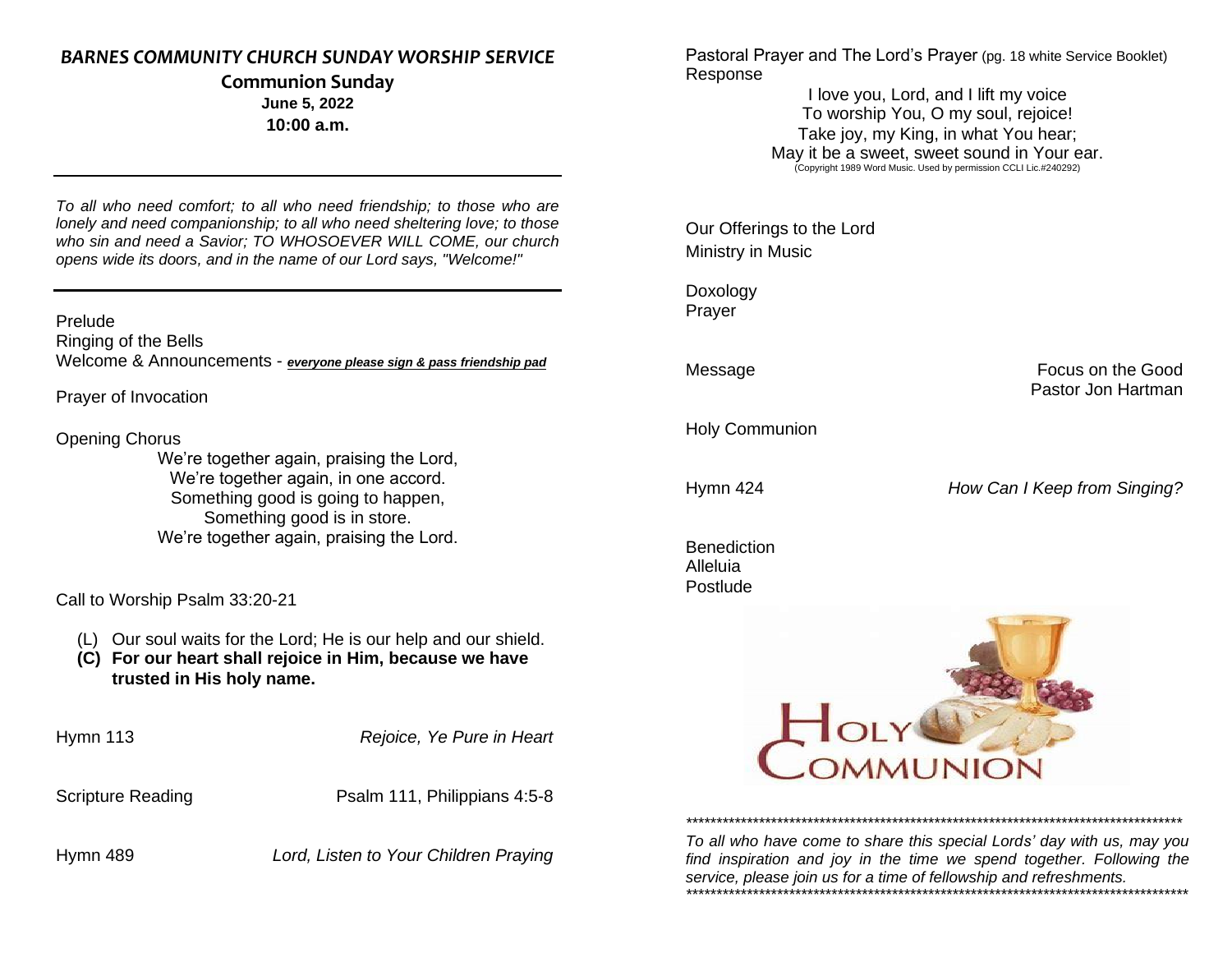## *BARNES COMMUNITY CHURCH SUNDAY WORSHIP SERVICE*

#### **Communion Sunday June 5, 2022 10:00 a.m.**

*To all who need comfort; to all who need friendship; to those who are lonely and need companionship; to all who need sheltering love; to those who sin and need a Savior; TO WHOSOEVER WILL COME, our church opens wide its doors, and in the name of our Lord says, "Welcome!"*

#### Prelude

Ringing of the Bells Welcome & Announcements - *everyone please sign & pass friendship pad*

Prayer of Invocation

#### Opening Chorus

We're together again, praising the Lord, We're together again, in one accord. Something good is going to happen, Something good is in store. We're together again, praising the Lord.

Call to Worship Psalm 33:20-21

- (L) Our soul waits for the Lord; He is our help and our shield.
- **(C) For our heart shall rejoice in Him, because we have trusted in His holy name.**

Hymn 113 *Rejoice, Ye Pure in Heart*

Scripture Reading **Psalm 111, Philippians 4:5-8** 

Hymn 489 *Lord, Listen to Your Children Praying*

Pastoral Prayer and The Lord's Prayer (pg. 18 white Service Booklet) Response

> I love you, Lord, and I lift my voice To worship You, O my soul, rejoice! Take joy, my King, in what You hear; May it be a sweet, sweet sound in Your ear.<br>
> (Copyright 1989 Word Music. Used by permission CCLI Lic.#240292)

Our Offerings to the Lord Ministry in Music

Doxology Prayer

Message **Focus** on the Good Pastor Jon Hartman

Holy Communion

Hymn 424 *How Can I Keep from Singing?*

Benediction Alleluia Postlude



*To all who have come to share this special Lords' day with us, may you find inspiration and joy in the time we spend together. Following the service, please join us for a time of fellowship and refreshments. \*\*\*\*\*\*\*\*\*\*\*\*\*\*\*\*\*\*\*\*\*\*\*\*\*\*\*\*\*\*\*\*\*\*\*\*\*\*\*\*\*\*\*\*\*\*\*\*\*\*\*\*\*\*\*\*\*\*\*\*\*\*\*\*\*\*\*\*\*\*\*\*\*\*\*\*\*\*\*\*\*\*\**

*\*\*\*\*\*\*\*\*\*\*\*\*\*\*\*\*\*\*\*\*\*\*\*\*\*\*\*\*\*\*\*\*\*\*\*\*\*\*\*\*\*\*\*\*\*\*\*\*\*\*\*\*\*\*\*\*\*\*\*\*\*\*\*\*\*\*\*\*\*\*\*\*\*\*\*\*\*\*\*\*\*\**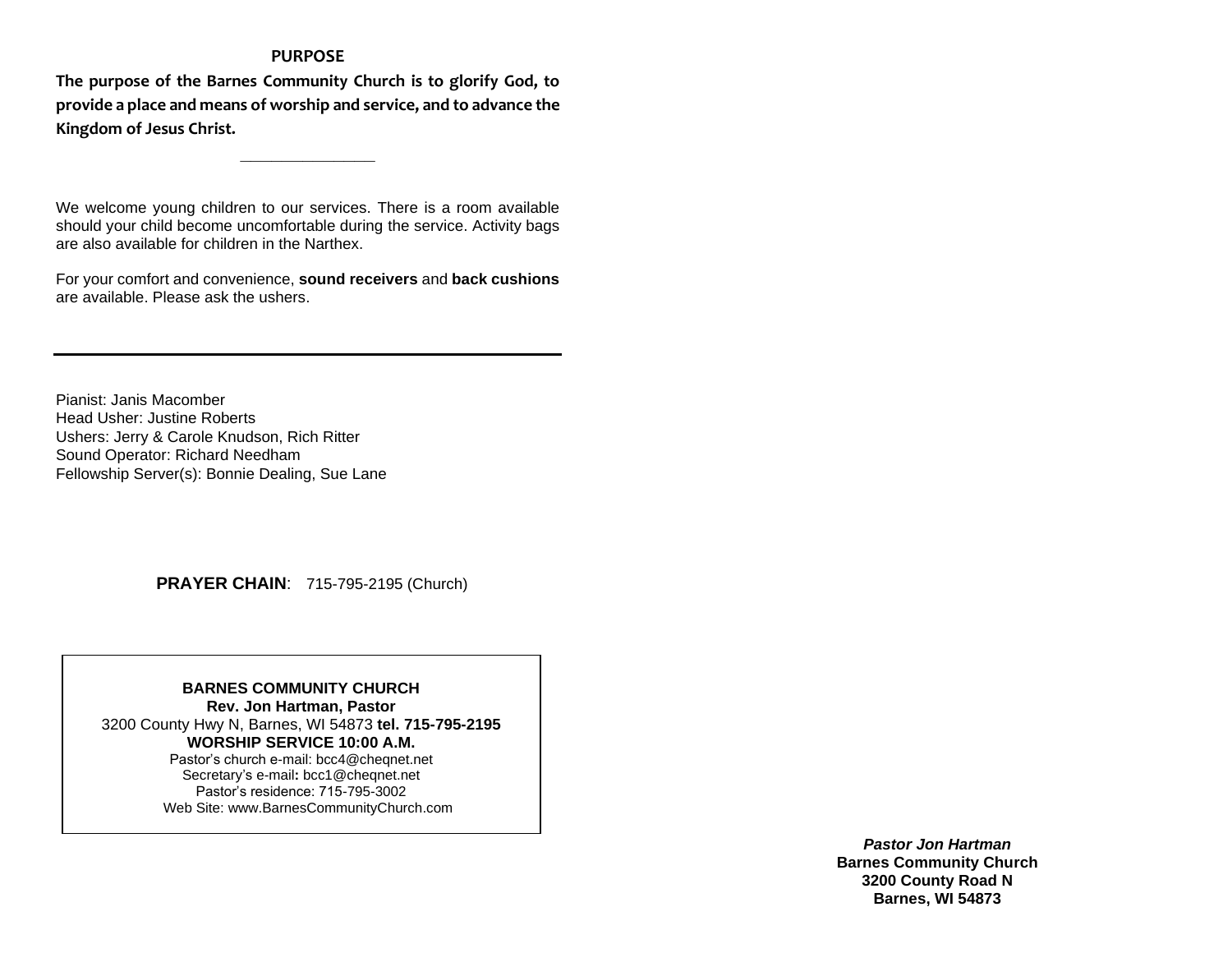#### **PURPOSE**

**The purpose of the Barnes Community Church is to glorify God, to provide a place and means of worship and service, and to advance the Kingdom of Jesus Christ.**

**\_\_\_\_\_\_\_\_\_\_\_\_\_**

We welcome young children to our services. There is a room available should your child become uncomfortable during the service. Activity bags are also available for children in the Narthex.

For your comfort and convenience, **sound receivers** and **back cushions** are available. Please ask the ushers.

Pianist: Janis Macomber Head Usher: Justine Roberts Ushers: Jerry & Carole Knudson, Rich Ritter Sound Operator: Richard Needham Fellowship Server(s): Bonnie Dealing, Sue Lane

 **PRAYER CHAIN**: 715-795-2195 (Church)

**BARNES COMMUNITY CHURCH Rev. Jon Hartman, Pastor** 3200 County Hwy N, Barnes, WI 54873 **tel. 715-795-2195 WORSHIP SERVICE 10:00 A.M.** Pastor's church e-mail: bcc4@cheqnet.net Secretary's e-mail**:** [bcc1@cheqnet.net](mailto:bcc1@cheqnet.net) Pastor's residence: 715-795-3002 Web Site[: www.BarnesCommunityChurch.](http://www.barnescommunitychurch/)com

> *Pastor Jon Hartman* **Barnes Community Church 3200 County Road N Barnes, WI 54873**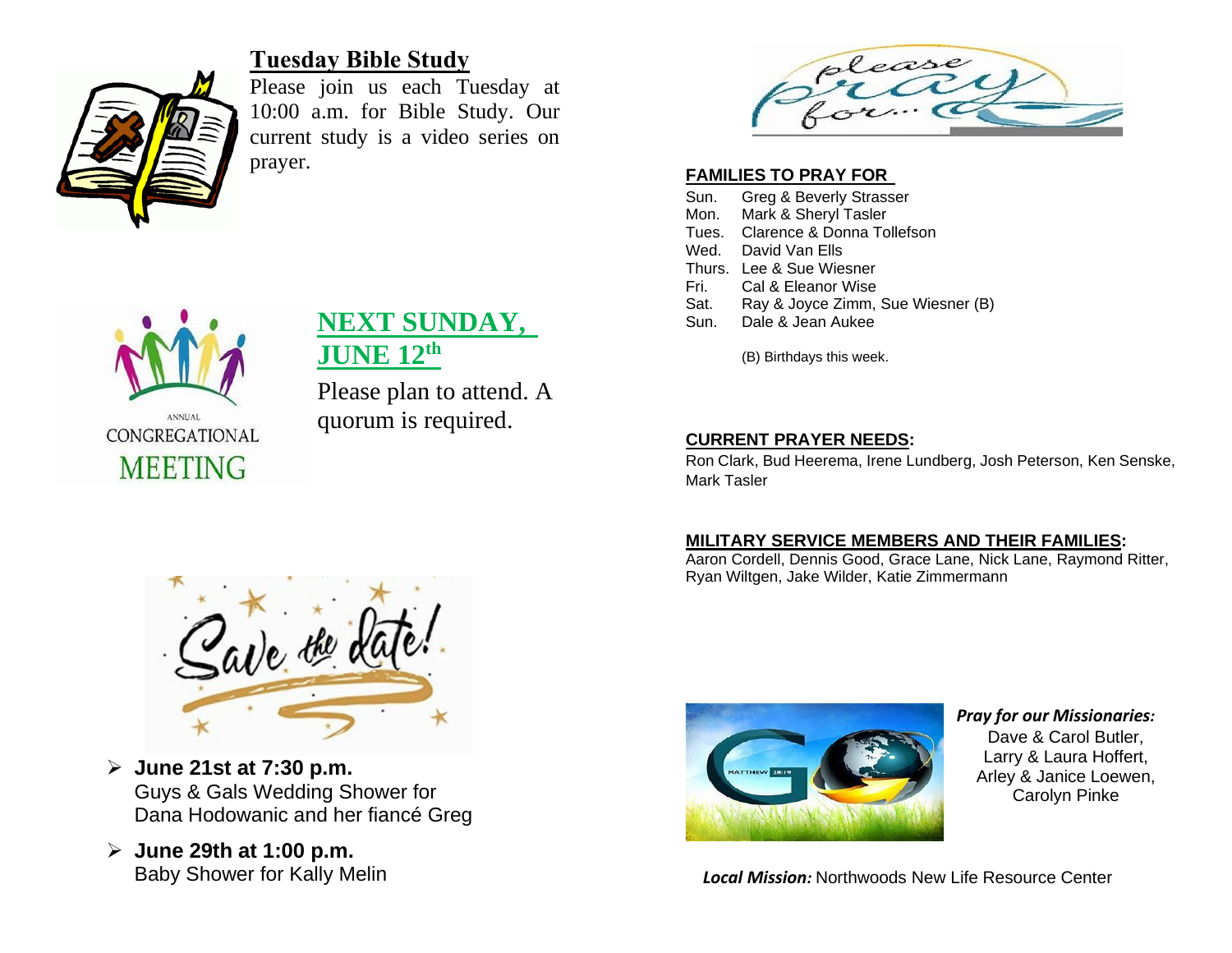

# **Tuesday Bible Study**

Please join us each Tuesday at 10:00 a.m. for Bible Study. Our current study is a video series on prayer.

**NEXT SUNDAY,** 

Please plan to attend. A

quorum is required.

**JUNE 12th**



## **FAMILIES TO PRAY FOR**

- Sun. Greg & Beverly Strasser
- Mon. Mark & Sheryl Tasler
- Tues. Clarence & Donna Tollefson
- Wed. David Van Flls.
- Thurs. Lee & Sue Wiesner
- Fri. Cal & Eleanor Wise
- Sat. Ray & Joyce Zimm, Sue Wiesner (B)
- Sun. Dale & Jean Aukee

(B) Birthdays this week.

# **CURRENT PRAYER NEEDS:**

Ron Clark, Bud Heerema, Irene Lundberg, Josh Peterson, Ken Senske, Mark Tasler

## **MILITARY SERVICE MEMBERS AND THEIR FAMILIES:**

Aaron Cordell, Dennis Good, Grace Lane, Nick Lane, Raymond Ritter, Ryan Wiltgen, Jake Wilder, Katie Zimmermann



- ➢ **June 21st at 7:30 p.m.** Guys & Gals Wedding Shower for Dana Hodowanic and her fiancé Greg
- ➢ **June 29th at 1:00 p.m.** Baby Shower for Kally Melin



*Pray for our Missionaries:* Dave & Carol Butler, Larry & Laura Hoffert, Arley & Janice Loewen, Carolyn Pinke

*Local Mission:* Northwoods New Life Resource Center